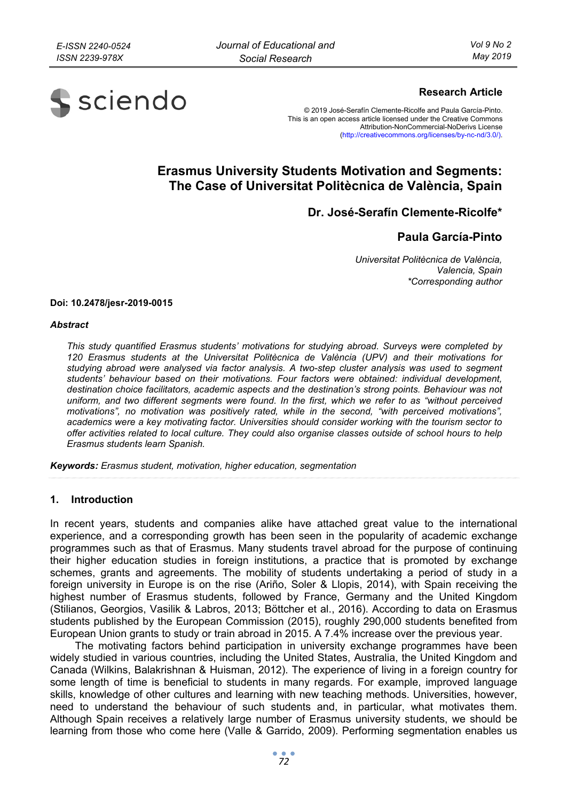

## **Research Article**

© 2019 José-Serafín Clemente-Ricolfe and Paula García-Pinto. This is an open access article licensed under the Creative Commons Attribution-NonCommercial-NoDerivs License (http://creativecommons.org/licenses/by-nc-nd/3.0/).

# **Erasmus University Students Motivation and Segments: The Case of Universitat Politècnica de València, Spain**

**Dr. José-Serafín Clemente-Ricolfe\*** 

## **Paula García-Pinto**

*Universitat Politècnica de València, Valencia, Spain \*Corresponding author* 

#### **Doi: 10.2478/jesr-2019-0015**

#### *Abstract*

*This study quantified Erasmus students' motivations for studying abroad. Surveys were completed by 120 Erasmus students at the Universitat Politècnica de València (UPV) and their motivations for studying abroad were analysed via factor analysis. A two-step cluster analysis was used to segment students' behaviour based on their motivations. Four factors were obtained: individual development, destination choice facilitators, academic aspects and the destination's strong points. Behaviour was not uniform, and two different segments were found. In the first, which we refer to as "without perceived motivations", no motivation was positively rated, while in the second, "with perceived motivations", academics were a key motivating factor. Universities should consider working with the tourism sector to offer activities related to local culture. They could also organise classes outside of school hours to help Erasmus students learn Spanish.* 

*Keywords: Erasmus student, motivation, higher education, segmentation* 

#### **1. Introduction**

In recent years, students and companies alike have attached great value to the international experience, and a corresponding growth has been seen in the popularity of academic exchange programmes such as that of Erasmus. Many students travel abroad for the purpose of continuing their higher education studies in foreign institutions, a practice that is promoted by exchange schemes, grants and agreements. The mobility of students undertaking a period of study in a foreign university in Europe is on the rise (Ariño, Soler & Llopis, 2014), with Spain receiving the highest number of Erasmus students, followed by France, Germany and the United Kingdom (Stilianos, Georgios, Vasilik & Labros, 2013; Böttcher et al., 2016). According to data on Erasmus students published by the European Commission (2015), roughly 290,000 students benefited from European Union grants to study or train abroad in 2015. A 7.4% increase over the previous year.

The motivating factors behind participation in university exchange programmes have been widely studied in various countries, including the United States, Australia, the United Kingdom and Canada (Wilkins, Balakrishnan & Huisman, 2012). The experience of living in a foreign country for some length of time is beneficial to students in many regards. For example, improved language skills, knowledge of other cultures and learning with new teaching methods. Universities, however, need to understand the behaviour of such students and, in particular, what motivates them. Although Spain receives a relatively large number of Erasmus university students, we should be learning from those who come here (Valle & Garrido, 2009). Performing segmentation enables us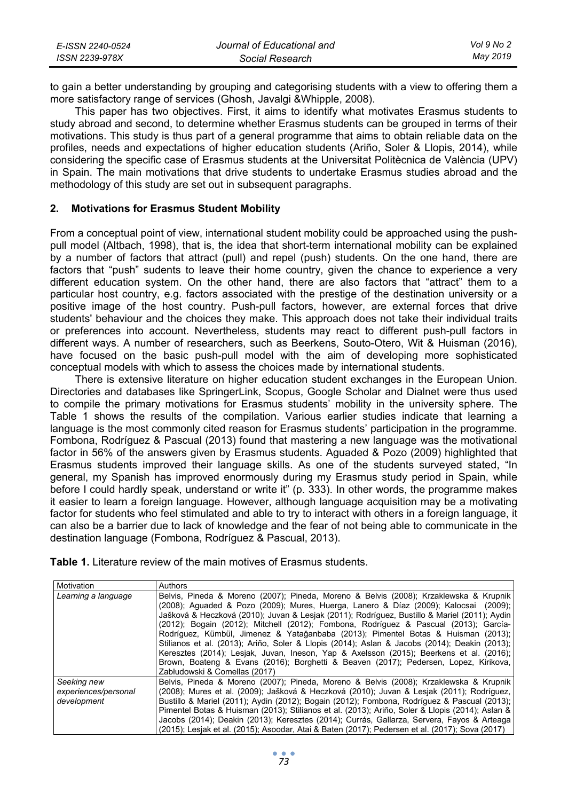| E-ISSN 2240-0524 | Journal of Educational and | Vol 9 No 2 |
|------------------|----------------------------|------------|
| ISSN 2239-978X   | Social Research            | May 2019   |

to gain a better understanding by grouping and categorising students with a view to offering them a more satisfactory range of services (Ghosh, Javalgi &Whipple, 2008).

This paper has two objectives. First, it aims to identify what motivates Erasmus students to study abroad and second, to determine whether Erasmus students can be grouped in terms of their motivations. This study is thus part of a general programme that aims to obtain reliable data on the profiles, needs and expectations of higher education students (Ariño, Soler & Llopis, 2014), while considering the specific case of Erasmus students at the Universitat Politècnica de València (UPV) in Spain. The main motivations that drive students to undertake Erasmus studies abroad and the methodology of this study are set out in subsequent paragraphs.

#### **2. Motivations for Erasmus Student Mobility**

From a conceptual point of view, international student mobility could be approached using the pushpull model (Altbach, 1998), that is, the idea that short-term international mobility can be explained by a number of factors that attract (pull) and repel (push) students. On the one hand, there are factors that "push" sudents to leave their home country, given the chance to experience a very different education system. On the other hand, there are also factors that "attract" them to a particular host country, e.g. factors associated with the prestige of the destination university or a positive image of the host country. Push-pull factors, however, are external forces that drive students' behaviour and the choices they make. This approach does not take their individual traits or preferences into account. Nevertheless, students may react to different push-pull factors in different ways. A number of researchers, such as Beerkens, Souto-Otero, Wit & Huisman (2016), have focused on the basic push-pull model with the aim of developing more sophisticated conceptual models with which to assess the choices made by international students.

There is extensive literature on higher education student exchanges in the European Union. Directories and databases like SpringerLink, Scopus, Google Scholar and Dialnet were thus used to compile the primary motivations for Erasmus students' mobility in the university sphere. The Table 1 shows the results of the compilation. Various earlier studies indicate that learning a language is the most commonly cited reason for Erasmus students' participation in the programme. Fombona, Rodríguez & Pascual (2013) found that mastering a new language was the motivational factor in 56% of the answers given by Erasmus students. Aguaded & Pozo (2009) highlighted that Erasmus students improved their language skills. As one of the students surveyed stated, "In general, my Spanish has improved enormously during my Erasmus study period in Spain, while before I could hardly speak, understand or write it" (p. 333). In other words, the programme makes it easier to learn a foreign language. However, although language acquisition may be a motivating factor for students who feel stimulated and able to try to interact with others in a foreign language, it can also be a barrier due to lack of knowledge and the fear of not being able to communicate in the destination language (Fombona, Rodríguez & Pascual, 2013).

**Table 1.** Literature review of the main motives of Erasmus students.

| Motivation                                         | Authors                                                                                                                                                                                                                                                                                                                                                                                                                                                                                                                                                                                                                                                                                                                                                                          |
|----------------------------------------------------|----------------------------------------------------------------------------------------------------------------------------------------------------------------------------------------------------------------------------------------------------------------------------------------------------------------------------------------------------------------------------------------------------------------------------------------------------------------------------------------------------------------------------------------------------------------------------------------------------------------------------------------------------------------------------------------------------------------------------------------------------------------------------------|
| Learning a language                                | Belvis, Pineda & Moreno (2007); Pineda, Moreno & Belvis (2008); Krzaklewska & Krupnik<br>(2008); Aquaded & Pozo (2009); Mures, Huerga, Lanero & Díaz (2009); Kalocsai (2009); I<br>Jašková & Heczková (2010); Juvan & Lesjak (2011); Rodríguez, Bustillo & Mariel (2011); Aydin<br>(2012): Bogain (2012): Mitchell (2012): Fombona. Rodríguez & Pascual (2013): García-<br>Rodríquez, Kümbül, Jimenez & Yatağanbaba (2013); Pimentel Botas & Huisman (2013);<br>Stilianos et al. (2013): Ariño. Soler & Llopis (2014): Aslan & Jacobs (2014): Deakin (2013):<br>Keresztes (2014); Lesjak, Juvan, Ineson, Yap & Axelsson (2015); Beerkens et al. (2016);<br>Brown, Boateng & Evans (2016); Borghetti & Beaven (2017); Pedersen, Lopez, Kirikova,<br>Zabłudowski & Comellas (2017) |
| Seeking new<br>experiences/personal<br>development | Belvis, Pineda & Moreno (2007); Pineda, Moreno & Belvis (2008); Krzaklewska & Krupnik<br>(2008); Mures et al. (2009); Jašková & Heczková (2010); Juvan & Lesjak (2011); Rodríguez, J<br>Bustillo & Mariel (2011): Avdin (2012): Bogain (2012): Fombona, Rodríguez & Pascual (2013):<br>Pimentel Botas & Huisman (2013); Stilianos et al. (2013); Ariño, Soler & Llopis (2014); Aslan &  <br>Jacobs (2014): Deakin (2013): Keresztes (2014): Currás. Gallarza. Servera. Favos & Arteaga l<br>(2015); Lesiak et al. (2015); Asoodar, Atai & Baten (2017); Pedersen et al. (2017); Sova (2017)                                                                                                                                                                                      |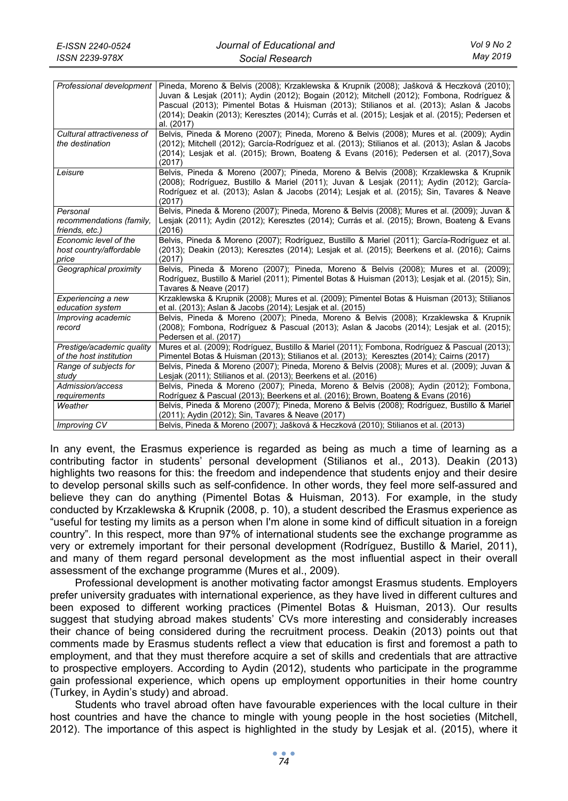| Professional development   | Pineda, Moreno & Belvis (2008); Krzaklewska & Krupnik (2008); Jašková & Heczková (2010);         |
|----------------------------|--------------------------------------------------------------------------------------------------|
|                            | Juvan & Lesjak (2011); Aydin (2012); Bogain (2012); Mitchell (2012); Fombona, Rodríguez &        |
|                            | Pascual (2013); Pimentel Botas & Huisman (2013); Stilianos et al. (2013); Aslan & Jacobs         |
|                            | (2014); Deakin (2013); Keresztes (2014); Currás et al. (2015); Lesjak et al. (2015); Pedersen et |
|                            | al. (2017)                                                                                       |
|                            |                                                                                                  |
| Cultural attractiveness of | Belvis, Pineda & Moreno (2007); Pineda, Moreno & Belvis (2008); Mures et al. (2009); Aydin       |
| the destination            | (2012); Mitchell (2012); García-Rodríguez et al. (2013); Stilianos et al. (2013); Aslan & Jacobs |
|                            | (2014); Lesjak et al. (2015); Brown, Boateng & Evans (2016); Pedersen et al. (2017) Sova         |
|                            | (2017)                                                                                           |
| Leisure                    | Belvis, Pineda & Moreno (2007); Pineda, Moreno & Belvis (2008); Krzaklewska & Krupnik            |
|                            | (2008); Rodríguez, Bustillo & Mariel (2011); Juvan & Lesjak (2011); Aydin (2012); García-        |
|                            | Rodríguez et al. (2013); Aslan & Jacobs (2014); Lesjak et al. (2015); Sin, Tavares & Neave       |
|                            | (2017)                                                                                           |
|                            |                                                                                                  |
| Personal                   | Belvis, Pineda & Moreno (2007); Pineda, Moreno & Belvis (2008); Mures et al. (2009); Juvan &     |
| recommendations (family,   | Lesjak (2011); Aydin (2012); Keresztes (2014); Currás et al. (2015); Brown, Boateng & Evans      |
| friends, etc.)             | (2016)                                                                                           |
| Economic level of the      | Belvis, Pineda & Moreno (2007); Rodríguez, Bustillo & Mariel (2011); García-Rodríguez et al.     |
| host country/affordable    | (2013); Deakin (2013); Keresztes (2014); Lesjak et al. (2015); Beerkens et al. (2016); Cairns    |
| price                      | (2017)                                                                                           |
| Geographical proximity     | Belvis, Pineda & Moreno (2007); Pineda, Moreno & Belvis (2008); Mures et al. (2009);             |
|                            | Rodríguez, Bustillo & Mariel (2011); Pimentel Botas & Huisman (2013); Lesjak et al. (2015); Sin, |
|                            | Tavares & Neave (2017)                                                                           |
|                            |                                                                                                  |
| Experiencing a new         | Krzaklewska & Krupnik (2008); Mures et al. (2009); Pimentel Botas & Huisman (2013); Stilianos    |
| education system           | et al. (2013); Aslan & Jacobs (2014); Lesjak et al. (2015)                                       |
| Improving academic         | Belvis, Pineda & Moreno (2007); Pineda, Moreno & Belvis (2008); Krzaklewska & Krupnik            |
| record                     | (2008); Fombona, Rodríguez & Pascual (2013); Aslan & Jacobs (2014); Lesjak et al. (2015);        |
|                            | Pedersen et al. (2017)                                                                           |
| Prestige/academic quality  | Mures et al. (2009); Rodríguez, Bustillo & Mariel (2011); Fombona, Rodríguez & Pascual (2013);   |
| of the host institution    | Pimentel Botas & Huisman (2013); Stilianos et al. (2013); Keresztes (2014); Cairns (2017)        |
| Range of subjects for      | Belvis, Pineda & Moreno (2007); Pineda, Moreno & Belvis (2008); Mures et al. (2009); Juvan &     |
| study                      | Lesjak (2011); Stilianos et al. (2013); Beerkens et al. (2016)                                   |
| Admission/access           | Belvis, Pineda & Moreno (2007); Pineda, Moreno & Belvis (2008); Aydin (2012); Fombona,           |
| requirements               | Rodríguez & Pascual (2013); Beerkens et al. (2016); Brown, Boateng & Evans (2016)                |
| Weather                    | Belvis, Pineda & Moreno (2007); Pineda, Moreno & Belvis (2008); Rodríguez, Bustillo & Mariel     |
|                            | (2011); Aydin (2012); Sin, Tavares & Neave (2017)                                                |
| Improving CV               | Belvis, Pineda & Moreno (2007); Jašková & Heczková (2010); Stilianos et al. (2013)               |

In any event, the Erasmus experience is regarded as being as much a time of learning as a contributing factor in students' personal development (Stilianos et al., 2013). Deakin (2013) highlights two reasons for this: the freedom and independence that students enjoy and their desire to develop personal skills such as self-confidence. In other words, they feel more self-assured and believe they can do anything (Pimentel Botas & Huisman, 2013). For example, in the study conducted by Krzaklewska & Krupnik (2008, p. 10), a student described the Erasmus experience as "useful for testing my limits as a person when I'm alone in some kind of difficult situation in a foreign country". In this respect, more than 97% of international students see the exchange programme as very or extremely important for their personal development (Rodríguez, Bustillo & Mariel, 2011), and many of them regard personal development as the most influential aspect in their overall assessment of the exchange programme (Mures et al., 2009).

Professional development is another motivating factor amongst Erasmus students. Employers prefer university graduates with international experience, as they have lived in different cultures and been exposed to different working practices (Pimentel Botas & Huisman, 2013). Our results suggest that studying abroad makes students' CVs more interesting and considerably increases their chance of being considered during the recruitment process. Deakin (2013) points out that comments made by Erasmus students reflect a view that education is first and foremost a path to employment, and that they must therefore acquire a set of skills and credentials that are attractive to prospective employers. According to Aydin (2012), students who participate in the programme gain professional experience, which opens up employment opportunities in their home country (Turkey, in Aydin's study) and abroad.

Students who travel abroad often have favourable experiences with the local culture in their host countries and have the chance to mingle with young people in the host societies (Mitchell, 2012). The importance of this aspect is highlighted in the study by Lesjak et al. (2015), where it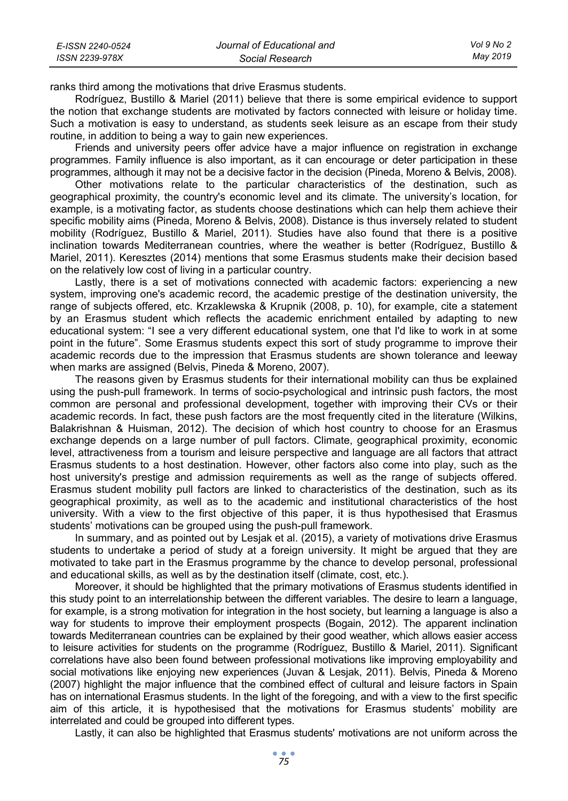| E-ISSN 2240-0524 | Journal of Educational and | Vol 9 No 2 |
|------------------|----------------------------|------------|
| ISSN 2239-978X   | Social Research            | Mav 2019   |

ranks third among the motivations that drive Erasmus students.

Rodríguez, Bustillo & Mariel (2011) believe that there is some empirical evidence to support the notion that exchange students are motivated by factors connected with leisure or holiday time. Such a motivation is easy to understand, as students seek leisure as an escape from their study routine, in addition to being a way to gain new experiences.

Friends and university peers offer advice have a major influence on registration in exchange programmes. Family influence is also important, as it can encourage or deter participation in these programmes, although it may not be a decisive factor in the decision (Pineda, Moreno & Belvis, 2008).

Other motivations relate to the particular characteristics of the destination, such as geographical proximity, the country's economic level and its climate. The university's location, for example, is a motivating factor, as students choose destinations which can help them achieve their specific mobility aims (Pineda, Moreno & Belvis, 2008). Distance is thus inversely related to student mobility (Rodríguez, Bustillo & Mariel, 2011). Studies have also found that there is a positive inclination towards Mediterranean countries, where the weather is better (Rodríguez, Bustillo & Mariel, 2011). Keresztes (2014) mentions that some Erasmus students make their decision based on the relatively low cost of living in a particular country.

Lastly, there is a set of motivations connected with academic factors: experiencing a new system, improving one's academic record, the academic prestige of the destination university, the range of subjects offered, etc. Krzaklewska & Krupnik (2008, p. 10), for example, cite a statement by an Erasmus student which reflects the academic enrichment entailed by adapting to new educational system: "I see a very different educational system, one that I'd like to work in at some point in the future". Some Erasmus students expect this sort of study programme to improve their academic records due to the impression that Erasmus students are shown tolerance and leeway when marks are assigned (Belvis, Pineda & Moreno, 2007).

The reasons given by Erasmus students for their international mobility can thus be explained using the push-pull framework. In terms of socio-psychological and intrinsic push factors, the most common are personal and professional development, together with improving their CVs or their academic records. In fact, these push factors are the most frequently cited in the literature (Wilkins, Balakrishnan & Huisman, 2012). The decision of which host country to choose for an Erasmus exchange depends on a large number of pull factors. Climate, geographical proximity, economic level, attractiveness from a tourism and leisure perspective and language are all factors that attract Erasmus students to a host destination. However, other factors also come into play, such as the host university's prestige and admission requirements as well as the range of subjects offered. Erasmus student mobility pull factors are linked to characteristics of the destination, such as its geographical proximity, as well as to the academic and institutional characteristics of the host university. With a view to the first objective of this paper, it is thus hypothesised that Erasmus students' motivations can be grouped using the push-pull framework.

In summary, and as pointed out by Lesjak et al. (2015), a variety of motivations drive Erasmus students to undertake a period of study at a foreign university. It might be argued that they are motivated to take part in the Erasmus programme by the chance to develop personal, professional and educational skills, as well as by the destination itself (climate, cost, etc.).

Moreover, it should be highlighted that the primary motivations of Erasmus students identified in this study point to an interrelationship between the different variables. The desire to learn a language, for example, is a strong motivation for integration in the host society, but learning a language is also a way for students to improve their employment prospects (Bogain, 2012). The apparent inclination towards Mediterranean countries can be explained by their good weather, which allows easier access to leisure activities for students on the programme (Rodríguez, Bustillo & Mariel, 2011). Significant correlations have also been found between professional motivations like improving employability and social motivations like enjoying new experiences (Juvan & Lesjak, 2011). Belvis, Pineda & Moreno (2007) highlight the major influence that the combined effect of cultural and leisure factors in Spain has on international Erasmus students. In the light of the foregoing, and with a view to the first specific aim of this article, it is hypothesised that the motivations for Erasmus students' mobility are interrelated and could be grouped into different types.

Lastly, it can also be highlighted that Erasmus students' motivations are not uniform across the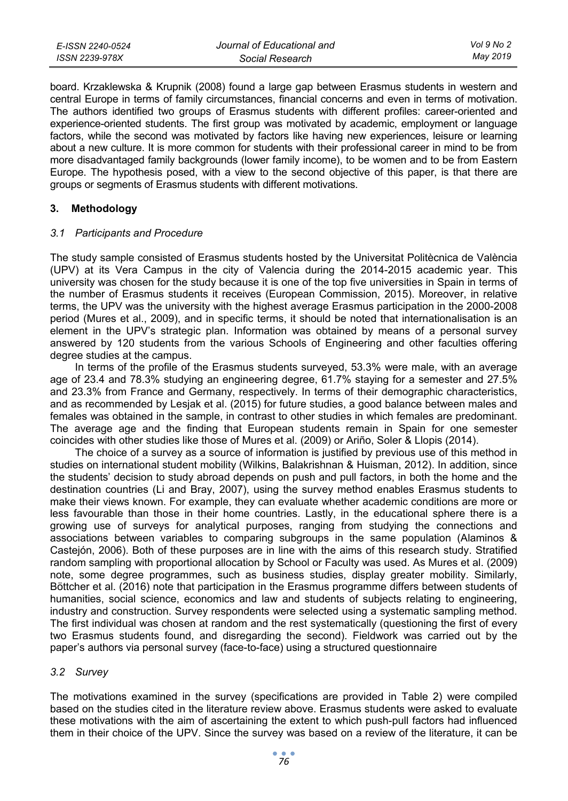| E-ISSN 2240-0524 | Journal of Educational and | Vol 9 No 2 |
|------------------|----------------------------|------------|
| ISSN 2239-978X   | Social Research            | May 2019   |

board. Krzaklewska & Krupnik (2008) found a large gap between Erasmus students in western and central Europe in terms of family circumstances, financial concerns and even in terms of motivation. The authors identified two groups of Erasmus students with different profiles: career-oriented and experience-oriented students. The first group was motivated by academic, employment or language factors, while the second was motivated by factors like having new experiences, leisure or learning about a new culture. It is more common for students with their professional career in mind to be from more disadvantaged family backgrounds (lower family income), to be women and to be from Eastern Europe. The hypothesis posed, with a view to the second objective of this paper, is that there are groups or segments of Erasmus students with different motivations.

#### **3. Methodology**

#### *3.1 Participants and Procedure*

The study sample consisted of Erasmus students hosted by the Universitat Politècnica de València (UPV) at its Vera Campus in the city of Valencia during the 2014-2015 academic year. This university was chosen for the study because it is one of the top five universities in Spain in terms of the number of Erasmus students it receives (European Commission, 2015). Moreover, in relative terms, the UPV was the university with the highest average Erasmus participation in the 2000-2008 period (Mures et al., 2009), and in specific terms, it should be noted that internationalisation is an element in the UPV's strategic plan. Information was obtained by means of a personal survey answered by 120 students from the various Schools of Engineering and other faculties offering degree studies at the campus.

In terms of the profile of the Erasmus students surveyed, 53.3% were male, with an average age of 23.4 and 78.3% studying an engineering degree, 61.7% staying for a semester and 27.5% and 23.3% from France and Germany, respectively. In terms of their demographic characteristics, and as recommended by Lesjak et al. (2015) for future studies, a good balance between males and females was obtained in the sample, in contrast to other studies in which females are predominant. The average age and the finding that European students remain in Spain for one semester coincides with other studies like those of Mures et al. (2009) or Ariño, Soler & Llopis (2014).

The choice of a survey as a source of information is justified by previous use of this method in studies on international student mobility (Wilkins, Balakrishnan & Huisman, 2012). In addition, since the students' decision to study abroad depends on push and pull factors, in both the home and the destination countries (Li and Bray, 2007), using the survey method enables Erasmus students to make their views known. For example, they can evaluate whether academic conditions are more or less favourable than those in their home countries. Lastly, in the educational sphere there is a growing use of surveys for analytical purposes, ranging from studying the connections and associations between variables to comparing subgroups in the same population (Alaminos & Castejón, 2006). Both of these purposes are in line with the aims of this research study. Stratified random sampling with proportional allocation by School or Faculty was used. As Mures et al. (2009) note, some degree programmes, such as business studies, display greater mobility. Similarly, Böttcher et al. (2016) note that participation in the Erasmus programme differs between students of humanities, social science, economics and law and students of subjects relating to engineering, industry and construction. Survey respondents were selected using a systematic sampling method. The first individual was chosen at random and the rest systematically (questioning the first of every two Erasmus students found, and disregarding the second). Fieldwork was carried out by the paper's authors via personal survey (face-to-face) using a structured questionnaire

### *3.2 Survey*

The motivations examined in the survey (specifications are provided in Table 2) were compiled based on the studies cited in the literature review above. Erasmus students were asked to evaluate these motivations with the aim of ascertaining the extent to which push-pull factors had influenced them in their choice of the UPV. Since the survey was based on a review of the literature, it can be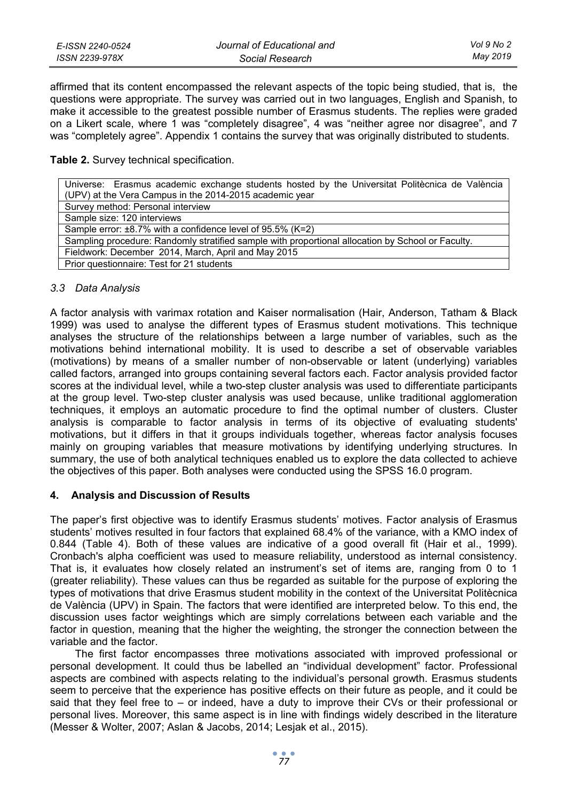| E-ISSN 2240-0524 | Journal of Educational and | Vol 9 No 2 |
|------------------|----------------------------|------------|
| ISSN 2239-978X   | Social Research            | May 2019   |

affirmed that its content encompassed the relevant aspects of the topic being studied, that is, the questions were appropriate. The survey was carried out in two languages, English and Spanish, to make it accessible to the greatest possible number of Erasmus students. The replies were graded on a Likert scale, where 1 was "completely disagree", 4 was "neither agree nor disagree", and 7 was "completely agree". Appendix 1 contains the survey that was originally distributed to students.

**Table 2.** Survey technical specification.

| Universe: Erasmus academic exchange students hosted by the Universitat Politècnica de València    |  |  |  |  |
|---------------------------------------------------------------------------------------------------|--|--|--|--|
| (UPV) at the Vera Campus in the 2014-2015 academic year                                           |  |  |  |  |
| Survey method: Personal interview                                                                 |  |  |  |  |
| Sample size: 120 interviews                                                                       |  |  |  |  |
| Sample error: ±8.7% with a confidence level of 95.5% (K=2)                                        |  |  |  |  |
| Sampling procedure: Randomly stratified sample with proportional allocation by School or Faculty. |  |  |  |  |
| Fieldwork: December 2014, March, April and May 2015                                               |  |  |  |  |
| Prior questionnaire: Test for 21 students                                                         |  |  |  |  |

### *3.3 Data Analysis*

A factor analysis with varimax rotation and Kaiser normalisation (Hair, Anderson, Tatham & Black 1999) was used to analyse the different types of Erasmus student motivations. This technique analyses the structure of the relationships between a large number of variables, such as the motivations behind international mobility. It is used to describe a set of observable variables (motivations) by means of a smaller number of non-observable or latent (underlying) variables called factors, arranged into groups containing several factors each. Factor analysis provided factor scores at the individual level, while a two-step cluster analysis was used to differentiate participants at the group level. Two-step cluster analysis was used because, unlike traditional agglomeration techniques, it employs an automatic procedure to find the optimal number of clusters. Cluster analysis is comparable to factor analysis in terms of its objective of evaluating students' motivations, but it differs in that it groups individuals together, whereas factor analysis focuses mainly on grouping variables that measure motivations by identifying underlying structures. In summary, the use of both analytical techniques enabled us to explore the data collected to achieve the objectives of this paper. Both analyses were conducted using the SPSS 16.0 program.

### **4. Analysis and Discussion of Results**

The paper's first objective was to identify Erasmus students' motives. Factor analysis of Erasmus students' motives resulted in four factors that explained 68.4% of the variance, with a KMO index of 0.844 (Table 4). Both of these values are indicative of a good overall fit (Hair et al., 1999). Cronbach's alpha coefficient was used to measure reliability, understood as internal consistency. That is, it evaluates how closely related an instrument's set of items are, ranging from 0 to 1 (greater reliability). These values can thus be regarded as suitable for the purpose of exploring the types of motivations that drive Erasmus student mobility in the context of the Universitat Politècnica de València (UPV) in Spain. The factors that were identified are interpreted below. To this end, the discussion uses factor weightings which are simply correlations between each variable and the factor in question, meaning that the higher the weighting, the stronger the connection between the variable and the factor.

The first factor encompasses three motivations associated with improved professional or personal development. It could thus be labelled an "individual development" factor. Professional aspects are combined with aspects relating to the individual's personal growth. Erasmus students seem to perceive that the experience has positive effects on their future as people, and it could be said that they feel free to – or indeed, have a duty to improve their CVs or their professional or personal lives. Moreover, this same aspect is in line with findings widely described in the literature (Messer & Wolter, 2007; Aslan & Jacobs, 2014; Lesjak et al., 2015).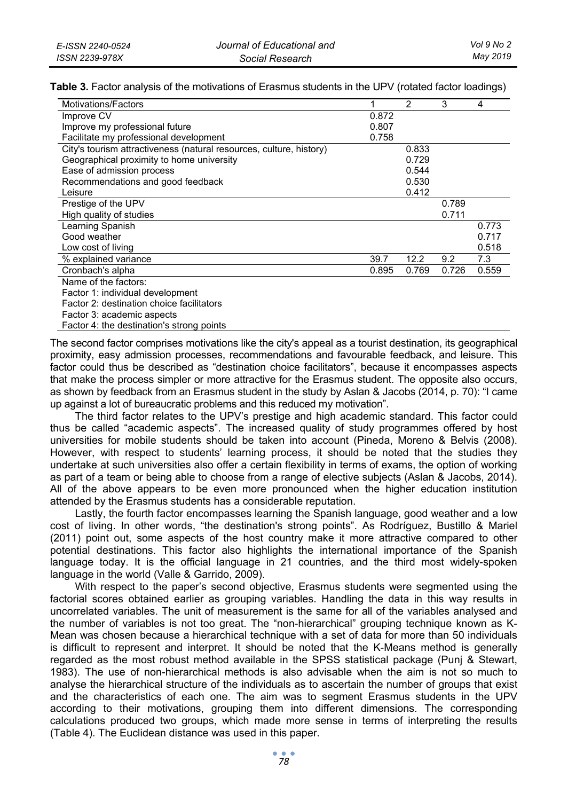**Table 3.** Factor analysis of the motivations of Erasmus students in the UPV (rotated factor loadings)

| Motivations/Factors                                                 |       | 2     | 3     | 4     |
|---------------------------------------------------------------------|-------|-------|-------|-------|
| Improve CV                                                          | 0.872 |       |       |       |
| Improve my professional future                                      | 0.807 |       |       |       |
| Facilitate my professional development                              | 0.758 |       |       |       |
| City's tourism attractiveness (natural resources, culture, history) |       | 0.833 |       |       |
| Geographical proximity to home university                           |       | 0.729 |       |       |
| Ease of admission process                                           |       | 0.544 |       |       |
| Recommendations and good feedback                                   |       | 0.530 |       |       |
| Leisure                                                             |       | 0.412 |       |       |
| Prestige of the UPV                                                 |       |       | 0.789 |       |
| High quality of studies                                             |       |       | 0.711 |       |
| Learning Spanish                                                    |       |       |       | 0.773 |
| Good weather                                                        |       |       |       | 0.717 |
| Low cost of living                                                  |       |       |       | 0.518 |
| % explained variance                                                | 39.7  | 12.2  | 9.2   | 7.3   |
| Cronbach's alpha                                                    | 0.895 | 0.769 | 0.726 | 0.559 |
| Name of the factors:                                                |       |       |       |       |
| Factor 1: individual development                                    |       |       |       |       |
| Factor 2: destination choice facilitators                           |       |       |       |       |
|                                                                     |       |       |       |       |

Factor 3: academic aspects Factor 4: the destination's strong points

The second factor comprises motivations like the city's appeal as a tourist destination, its geographical proximity, easy admission processes, recommendations and favourable feedback, and leisure. This factor could thus be described as "destination choice facilitators", because it encompasses aspects that make the process simpler or more attractive for the Erasmus student. The opposite also occurs, as shown by feedback from an Erasmus student in the study by Aslan & Jacobs (2014, p. 70): "I came up against a lot of bureaucratic problems and this reduced my motivation".

The third factor relates to the UPV's prestige and high academic standard. This factor could thus be called "academic aspects". The increased quality of study programmes offered by host universities for mobile students should be taken into account (Pineda, Moreno & Belvis (2008). However, with respect to students' learning process, it should be noted that the studies they undertake at such universities also offer a certain flexibility in terms of exams, the option of working as part of a team or being able to choose from a range of elective subjects (Aslan & Jacobs, 2014). All of the above appears to be even more pronounced when the higher education institution attended by the Erasmus students has a considerable reputation.

Lastly, the fourth factor encompasses learning the Spanish language, good weather and a low cost of living. In other words, "the destination's strong points". As Rodríguez, Bustillo & Mariel (2011) point out, some aspects of the host country make it more attractive compared to other potential destinations. This factor also highlights the international importance of the Spanish language today. It is the official language in 21 countries, and the third most widely-spoken language in the world (Valle & Garrido, 2009).

With respect to the paper's second objective, Erasmus students were segmented using the factorial scores obtained earlier as grouping variables. Handling the data in this way results in uncorrelated variables. The unit of measurement is the same for all of the variables analysed and the number of variables is not too great. The "non-hierarchical" grouping technique known as K-Mean was chosen because a hierarchical technique with a set of data for more than 50 individuals is difficult to represent and interpret. It should be noted that the K-Means method is generally regarded as the most robust method available in the SPSS statistical package (Punj & Stewart, 1983). The use of non-hierarchical methods is also advisable when the aim is not so much to analyse the hierarchical structure of the individuals as to ascertain the number of groups that exist and the characteristics of each one. The aim was to segment Erasmus students in the UPV according to their motivations, grouping them into different dimensions. The corresponding calculations produced two groups, which made more sense in terms of interpreting the results (Table 4). The Euclidean distance was used in this paper.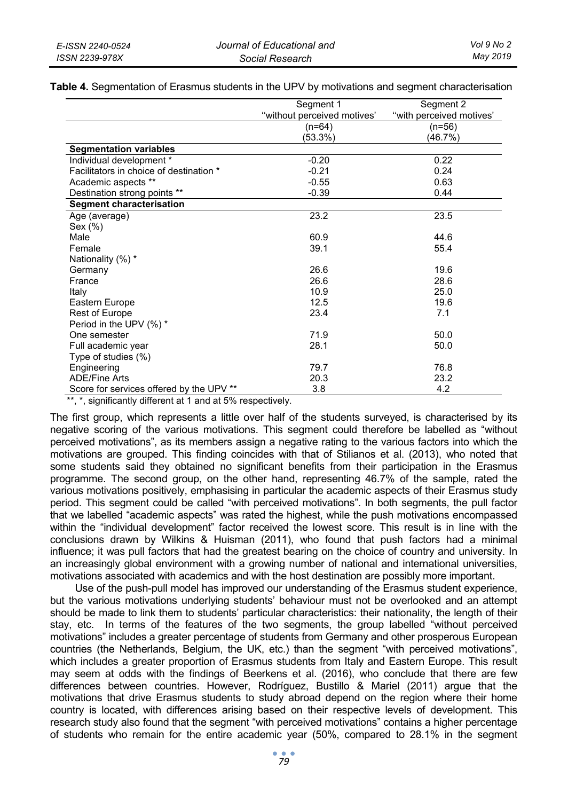|                                          | Segment 1                   | Segment 2                |
|------------------------------------------|-----------------------------|--------------------------|
|                                          | "without perceived motives" | "with perceived motives" |
|                                          | $(n=64)$                    | (n=56)                   |
|                                          | (53.3%)                     | (46.7%)                  |
| <b>Segmentation variables</b>            |                             |                          |
| Individual development *                 | $-0.20$                     | 0.22                     |
| Facilitators in choice of destination *  | $-0.21$                     | 0.24                     |
| Academic aspects **                      | $-0.55$                     | 0.63                     |
| Destination strong points **             | $-0.39$                     | 0.44                     |
| <b>Segment characterisation</b>          |                             |                          |
| Age (average)                            | 23.2                        | 23.5                     |
| Sex (%)                                  |                             |                          |
| Male                                     | 60.9                        | 44.6                     |
| Female                                   | 39.1                        | 55.4                     |
| Nationality (%) *                        |                             |                          |
| Germany                                  | 26.6                        | 19.6                     |
| France                                   | 26.6                        | 28.6                     |
| Italy                                    | 10.9                        | 25.0                     |
| Eastern Europe                           | 12.5                        | 19.6                     |
| Rest of Europe                           | 23.4                        | 7.1                      |
| Period in the UPV (%) *                  |                             |                          |
| One semester                             | 71.9                        | 50.0                     |
| Full academic year                       | 28.1                        | 50.0                     |
| Type of studies (%)                      |                             |                          |
| Engineering                              | 79.7                        | 76.8                     |
| <b>ADE/Fine Arts</b>                     | 20.3                        | 23.2                     |
| Score for services offered by the UPV ** | 3.8                         | 4.2                      |

**Table 4.** Segmentation of Erasmus students in the UPV by motivations and segment characterisation

 $*$ ,  $*$ , significantly different at 1 and at 5% respectively.

The first group, which represents a little over half of the students surveyed, is characterised by its negative scoring of the various motivations. This segment could therefore be labelled as "without perceived motivations", as its members assign a negative rating to the various factors into which the motivations are grouped. This finding coincides with that of Stilianos et al. (2013), who noted that some students said they obtained no significant benefits from their participation in the Erasmus programme. The second group, on the other hand, representing 46.7% of the sample, rated the various motivations positively, emphasising in particular the academic aspects of their Erasmus study period. This segment could be called "with perceived motivations". In both segments, the pull factor that we labelled "academic aspects" was rated the highest, while the push motivations encompassed within the "individual development" factor received the lowest score. This result is in line with the conclusions drawn by Wilkins & Huisman (2011), who found that push factors had a minimal influence; it was pull factors that had the greatest bearing on the choice of country and university. In an increasingly global environment with a growing number of national and international universities, motivations associated with academics and with the host destination are possibly more important.

Use of the push-pull model has improved our understanding of the Erasmus student experience, but the various motivations underlying students' behaviour must not be overlooked and an attempt should be made to link them to students' particular characteristics: their nationality, the length of their stay, etc. In terms of the features of the two segments, the group labelled "without perceived motivations" includes a greater percentage of students from Germany and other prosperous European countries (the Netherlands, Belgium, the UK, etc.) than the segment "with perceived motivations", which includes a greater proportion of Erasmus students from Italy and Eastern Europe. This result may seem at odds with the findings of Beerkens et al. (2016), who conclude that there are few differences between countries. However, Rodríguez, Bustillo & Mariel (2011) argue that the motivations that drive Erasmus students to study abroad depend on the region where their home country is located, with differences arising based on their respective levels of development. This research study also found that the segment "with perceived motivations" contains a higher percentage of students who remain for the entire academic year (50%, compared to 28.1% in the segment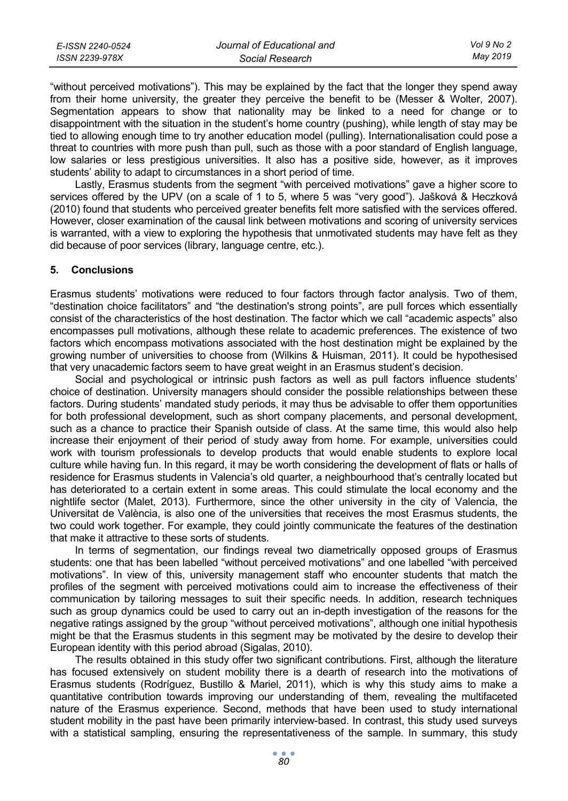| E-ISSN 2240-0524 | Journal of Educational and | Vol 9 No 2 |
|------------------|----------------------------|------------|
| ISSN 2239-978X   | Social Research            | May 2019   |

"without perceived motivations"). This may be explained by the fact that the longer they spend away from their home university, the greater they perceive the benefit to be (Messer & Wolter, 2007). Segmentation appears to show that nationality may be linked to a need for change or to disappointment with the situation in the student's home country (pushing), while length of stay may be tied to allowing enough time to try another education model (pulling). Internationalisation could pose a threat to countries with more push than pull, such as those with a poor standard of English language, low salaries or less prestigious universities. It also has a positive side, however, as it improves students' ability to adapt to circumstances in a short period of time.

Lastly, Erasmus students from the segment "with perceived motivations" gave a higher score to services offered by the UPV (on a scale of 1 to 5, where 5 was "very good"). Jašková & Heczková (2010) found that students who perceived greater benefits felt more satisfied with the services offered. However, closer examination of the causal link between motivations and scoring of university services is warranted, with a view to exploring the hypothesis that unmotivated students may have felt as they did because of poor services (library, language centre, etc.).

#### **5. Conclusions**

Erasmus students' motivations were reduced to four factors through factor analysis. Two of them, "destination choice facilitators" and "the destination's strong points", are pull forces which essentially consist of the characteristics of the host destination. The factor which we call "academic aspects" also encompasses pull motivations, although these relate to academic preferences. The existence of two factors which encompass motivations associated with the host destination might be explained by the growing number of universities to choose from (Wilkins & Huisman, 2011). It could be hypothesised that very unacademic factors seem to have great weight in an Erasmus student's decision.

Social and psychological or intrinsic push factors as well as pull factors influence students' choice of destination. University managers should consider the possible relationships between these factors. During students' mandated study periods, it may thus be advisable to offer them opportunities for both professional development, such as short company placements, and personal development, such as a chance to practice their Spanish outside of class. At the same time, this would also help increase their enjoyment of their period of study away from home. For example, universities could work with tourism professionals to develop products that would enable students to explore local culture while having fun. In this regard, it may be worth considering the development of flats or halls of residence for Erasmus students in Valencia's old quarter, a neighbourhood that's centrally located but has deteriorated to a certain extent in some areas. This could stimulate the local economy and the nightlife sector (Malet, 2013). Furthermore, since the other university in the city of Valencia, the Universitat de València, is also one of the universities that receives the most Erasmus students, the two could work together. For example, they could jointly communicate the features of the destination that make it attractive to these sorts of students.

In terms of segmentation, our findings reveal two diametrically opposed groups of Erasmus students: one that has been labelled "without perceived motivations" and one labelled "with perceived motivations". In view of this, university management staff who encounter students that match the profiles of the segment with perceived motivations could aim to increase the effectiveness of their communication by tailoring messages to suit their specific needs. In addition, research techniques such as group dynamics could be used to carry out an in-depth investigation of the reasons for the negative ratings assigned by the group "without perceived motivations", although one initial hypothesis might be that the Erasmus students in this segment may be motivated by the desire to develop their European identity with this period abroad (Sigalas, 2010).

The results obtained in this study offer two significant contributions. First, although the literature has focused extensively on student mobility there is a dearth of research into the motivations of Erasmus students (Rodríguez, Bustillo & Mariel, 2011), which is why this study aims to make a quantitative contribution towards improving our understanding of them, revealing the multifaceted nature of the Erasmus experience. Second, methods that have been used to study international student mobility in the past have been primarily interview-based. In contrast, this study used surveys with a statistical sampling, ensuring the representativeness of the sample. In summary, this study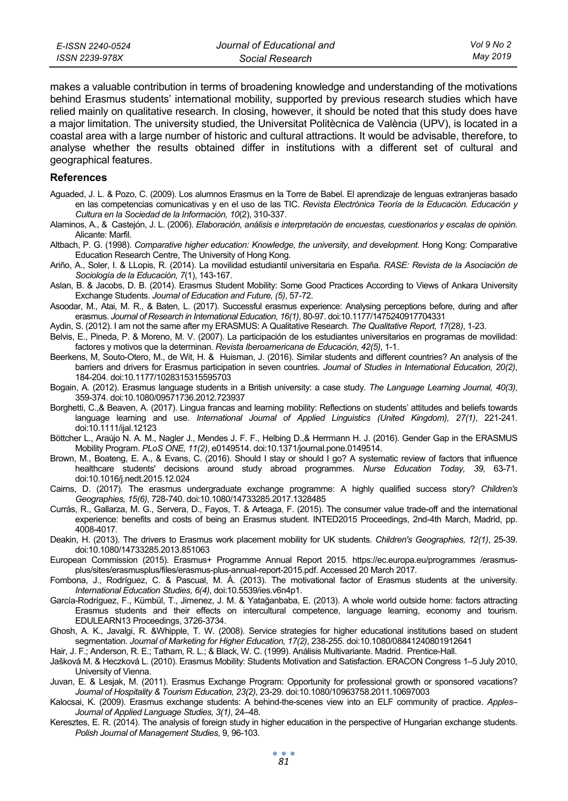| E-ISSN 2240-0524 | Journal of Educational and | Vol 9 No 2 |
|------------------|----------------------------|------------|
| ISSN 2239-978X   | Social Research            | May 2019   |

makes a valuable contribution in terms of broadening knowledge and understanding of the motivations behind Erasmus students' international mobility, supported by previous research studies which have relied mainly on qualitative research. In closing, however, it should be noted that this study does have a major limitation. The university studied, the Universitat Politècnica de València (UPV), is located in a coastal area with a large number of historic and cultural attractions. It would be advisable, therefore, to analyse whether the results obtained differ in institutions with a different set of cultural and geographical features.

### **References**

- Aguaded, J. L. & Pozo, C. (2009). Los alumnos Erasmus en la Torre de Babel. El aprendizaje de lenguas extranjeras basado en las competencias comunicativas y en el uso de las TIC. *Revista Electrónica Teoría de la Educación. Educación y Cultura en la Sociedad de la Información, 10*(2), 310-337.
- Alaminos, A., & Castejón, J. L. (2006). *Elaboración, análisis e interpretación de encuestas, cuestionarios y escalas de opinión.* Alicante: Marfil.
- Altbach, P. G. (1998). *Comparative higher education: Knowledge, the university, and development.* Hong Kong: Comparative Education Research Centre, The University of Hong Kong.
- Ariño, A., Soler, I. & LLopis, R. (2014). La movilidad estudiantil universitaria en España. *RASE: Revista de la Asociación de Sociología de la Educación, 7*(1), 143-167.
- Aslan, B. & Jacobs, D. B. (2014). Erasmus Student Mobility: Some Good Practices According to Views of Ankara University Exchange Students. *Journal of Education and Future, (5)*, 57-72.
- Asoodar, M., Atai, M. R., & Baten, L. (2017). Successful erasmus experience: Analysing perceptions before, during and after erasmus. *Journal of Research in International Education, 16(1)*, 80-97. doi:10.1177/1475240917704331
- Aydin, S. (2012). I am not the same after my ERASMUS: A Qualitative Research. *The Qualitative Report, 17*(28*)*, 1-23.
- Belvis, E., Pineda, P. & Moreno, M. V. (2007). La participación de los estudiantes universitarios en programas de movilidad: factores y motivos que la determinan. *Revista Iberoamericana de Educación, 42(5)*, 1-1.
- Beerkens, M, Souto-Otero, M., de Wit, H. & Huisman, J. (2016). Similar students and different countries? An analysis of the barriers and drivers for Erasmus participation in seven countries. *Journal of Studies in International Education, 20(2)*, 184-204. doi:10.1177/1028315315595703
- Bogain, A. (2012). Erasmus language students in a British university: a case study. *The Language Learning Journal, 40(3)*, 359-374. doi:10.1080/09571736.2012.723937
- Borghetti, C.,& Beaven, A. (2017). Lingua francas and learning mobility: Reflections on students' attitudes and beliefs towards language learning and use. *International Journal of Applied Linguistics (United Kingdom), 27(1)*, 221-241. doi:10.1111/ijal.12123
- Böttcher L., Araújo N. A. M., Nagler J., Mendes J. F. F., Helbing D.,& Herrmann H. J. (2016). Gender Gap in the ERASMUS Mobility Program. *PLoS ONE, 11(2)*, e0149514. doi:10.1371/journal.pone.0149514.
- Brown, M., Boateng, E. A., & Evans, C. (2016). Should I stay or should I go? A systematic review of factors that influence healthcare students' decisions around study abroad programmes. *Nurse Education Today, 39,* 63-71. doi:10.1016/j.nedt.2015.12.024
- Cairns, D. (2017). The erasmus undergraduate exchange programme: A highly qualified success story? *Children's Geographies, 15(6)*, 728-740. doi:10.1080/14733285.2017.1328485
- Currás, R., Gallarza, M. G., Servera, D., Fayos, T. & Arteaga, F. (2015). The consumer value trade-off and the international experience: benefits and costs of being an Erasmus student. INTED2015 Proceedings, 2nd-4th March, Madrid, pp. 4008-4017.
- Deakin, H. (2013). The drivers to Erasmus work placement mobility for UK students. *Children's Geographies, 12(1)*, 25-39. doi:10.1080/14733285.2013.851063
- European Commission (2015). Erasmus+ Programme Annual Report 2015. https://ec.europa.eu/programmes /erasmusplus/sites/erasmusplus/files/erasmus-plus-annual-report-2015.pdf. Accessed 20 March 2017.
- Fombona, J., Rodríguez, C. & Pascual, M. Á. (2013). The motivational factor of Erasmus students at the university. *International Education Studies, 6(4)*, doi:10.5539/ies.v6n4p1.
- García-Rodríguez, F., Kümbül, T., Jimenez, J. M. & Yatağanbaba, E. (2013). A whole world outside home: factors attracting Erasmus students and their effects on intercultural competence, language learning, economy and tourism. EDULEARN13 Proceedings, 3726-3734.
- Ghosh, A. K., Javalgi, R. &Whipple, T. W. (2008). Service strategies for higher educational institutions based on student segmentation. *Journal of Marketing for Higher Education, 17(2)*, 238-255. doi:10.1080/08841240801912641
- Hair, J. F.; Anderson, R. E.; Tatham, R. L.; & Black, W. C. (1999). Análisis Multivariante. Madrid. Prentice-Hall.
- Jašková M. & Heczková L. (2010). Erasmus Mobility: Students Motivation and Satisfaction. ERACON Congress 1–5 July 2010, University of Vienna.
- Juvan, E. & Lesjak, M. (2011). Erasmus Exchange Program: Opportunity for professional growth or sponsored vacations? *Journal of Hospitality & Tourism Education, 23(2)*, 23-29. doi:10.1080/10963758.2011.10697003
- Kalocsai, K. (2009). Erasmus exchange students: A behind-the-scenes view into an ELF community of practice. *Apples– Journal of Applied Language Studies, 3(1)*, 24–48.
- Keresztes, E. R. (2014). The analysis of foreign study in higher education in the perspective of Hungarian exchange students. *Polish Journal of Management Studies*, 9, 96-103.